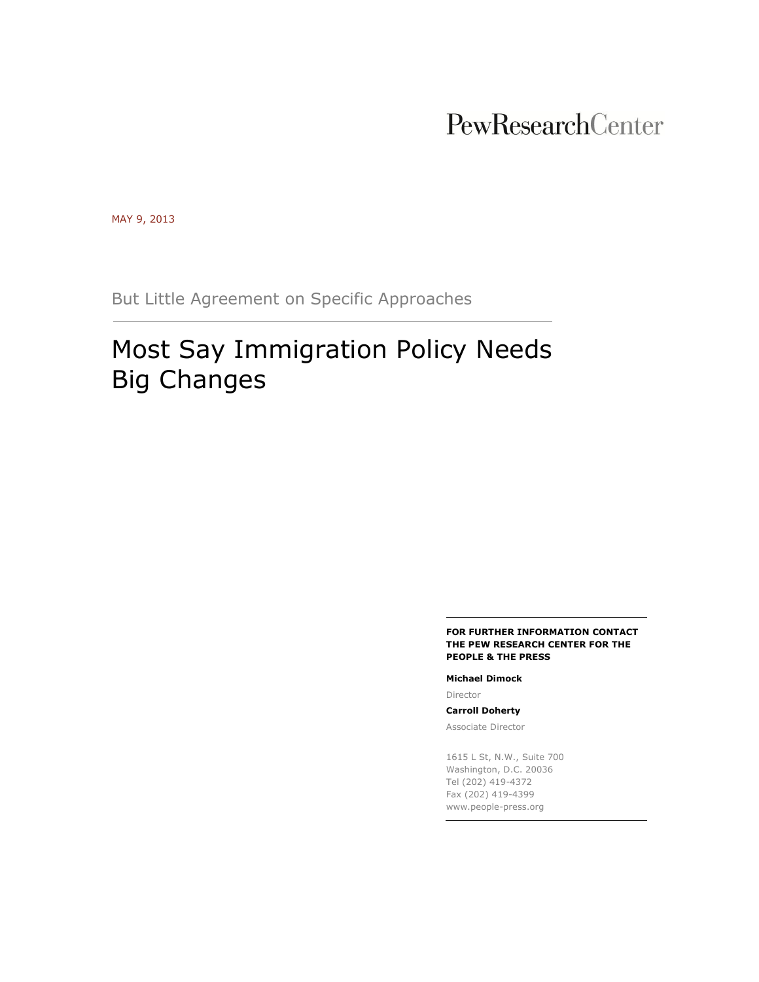# PewResearchCenter

MAY 9, 2013

But Little Agreement on Specific Approaches

# Most Say Immigration Policy Needs Big Changes

#### **FOR FURTHER INFORMATION CONTACT THE PEW RESEARCH CENTER FOR THE PEOPLE & THE PRESS**

#### **Michael Dimock**

Director

**Carroll Doherty**

Associate Director

1615 L St, N.W., Suite 700 Washington, D.C. 20036 Tel (202) 419-4372 Fax (202) 419-4399 www.people-press.org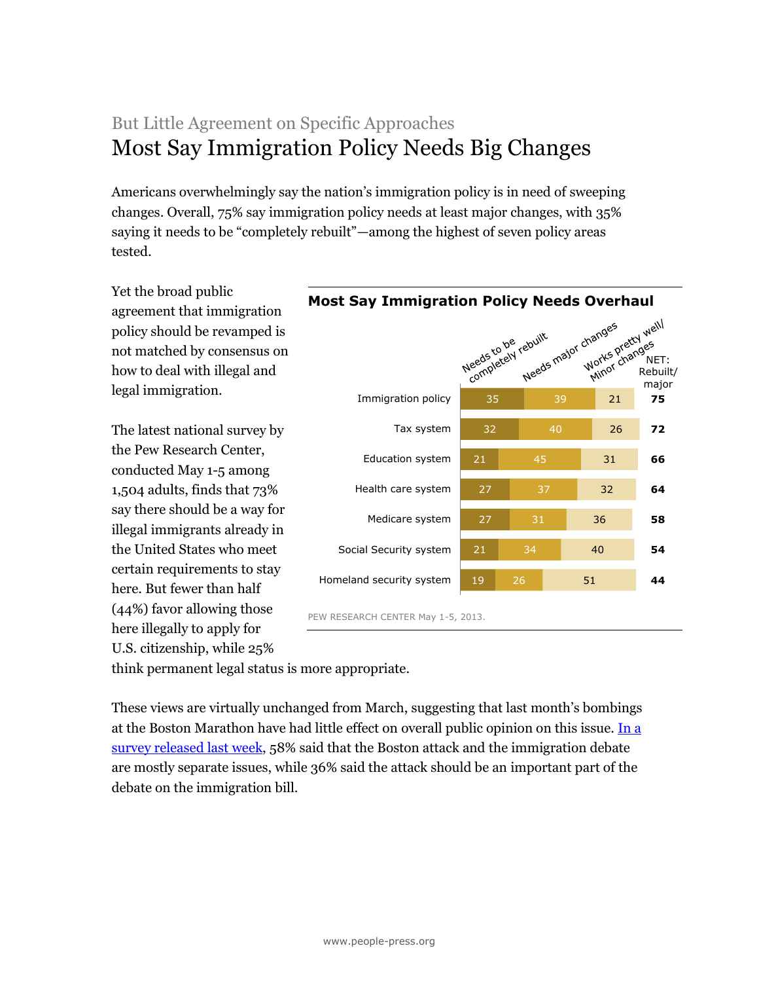## But Little Agreement on Specific Approaches Most Say Immigration Policy Needs Big Changes

Americans overwhelmingly say the nation's immigration policy is in need of sweeping changes. Overall, 75% say immigration policy needs at least major changes, with 35% saying it needs to be "completely rebuilt"—among the highest of seven policy areas tested.

Yet the broad public agreement that immigration policy should be revamped is not matched by consensus on how to deal with illegal and legal immigration.

The latest national survey by the Pew Research Center, conducted May 1-5 among 1,504 adults, finds that 73% say there should be a way for illegal immigrants already in the United States who meet certain requirements to stay here. But fewer than half (44%) favor allowing those here illegally to apply for U.S. citizenship, while 25%



think permanent legal status is more appropriate.

These views are virtually unchanged from March, suggesting that last month's bombings at the Boston Marathon have had little effect on overall public opinion on this issue. [In a](http://www.people-press.org/2013/05/01/division-uncertainty-over-new-immigration-bill/)  [survey released last week,](http://www.people-press.org/2013/05/01/division-uncertainty-over-new-immigration-bill/) 58% said that the Boston attack and the immigration debate are mostly separate issues, while 36% said the attack should be an important part of the debate on the immigration bill.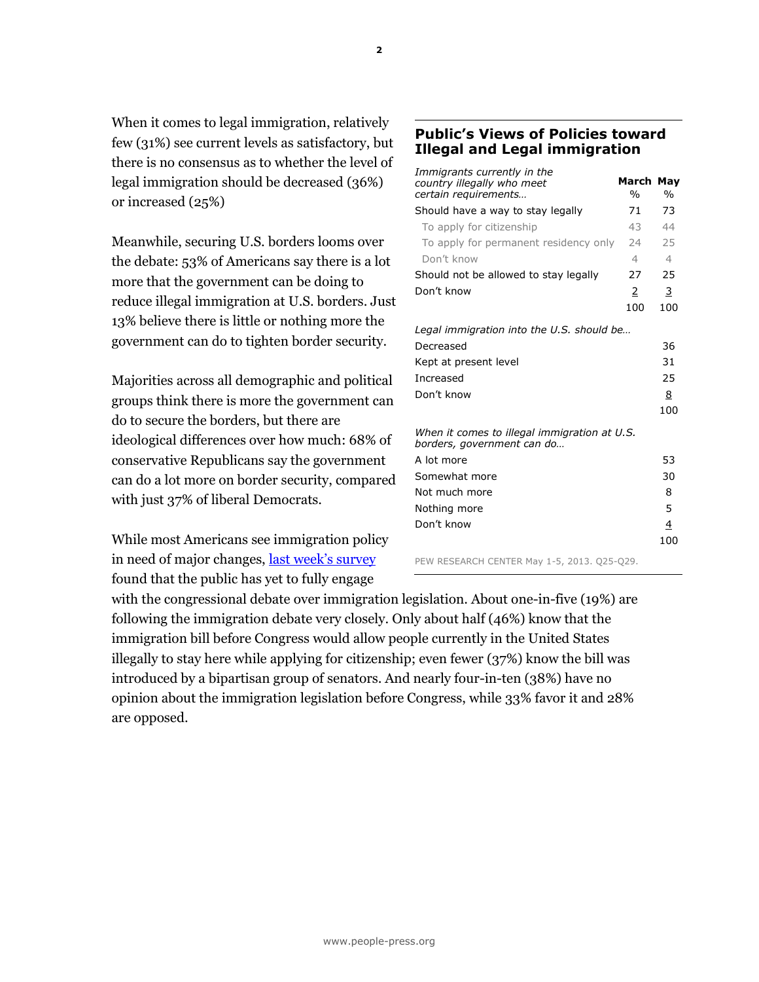When it comes to legal immigration, relatively few (31%) see current levels as satisfactory, but there is no consensus as to whether the level of legal immigration should be decreased (36%) or increased (25%)

Meanwhile, securing U.S. borders looms over the debate: 53% of Americans say there is a lot more that the government can be doing to reduce illegal immigration at U.S. borders. Just 13% believe there is little or nothing more the government can do to tighten border security.

Majorities across all demographic and political groups think there is more the government can do to secure the borders, but there are ideological differences over how much: 68% of conservative Republicans say the government can do a lot more on border security, compared with just 37% of liberal Democrats.

While most Americans see immigration policy in need of major changes, l[ast week's survey](http://www.people-press.org/2013/05/01/division-uncertainty-over-new-immigration-bill/) found that the public has yet to fully engage

## **Public's Views of Policies toward Illegal and Legal immigration**

| Immigrants currently in the<br>country illegally who meet<br>certain requirements | <b>March May</b><br>$\frac{0}{0}$ | $\frac{0}{0}$  |
|-----------------------------------------------------------------------------------|-----------------------------------|----------------|
| Should have a way to stay legally                                                 | 71                                | 73             |
| To apply for citizenship                                                          | 43                                | 44             |
| To apply for permanent residency only                                             | 24                                | 25             |
| Don't know                                                                        | $\overline{4}$                    | $\overline{4}$ |
| Should not be allowed to stay legally                                             | 27                                | 25             |
| Don't know                                                                        | 2                                 | 3              |
|                                                                                   | 100                               | 100            |
| Legal immigration into the U.S. should be                                         |                                   |                |
| Decreased                                                                         |                                   | 36             |
| Kept at present level                                                             |                                   | 31             |
| Increased                                                                         |                                   | 25             |
| Don't know                                                                        |                                   | 8              |
|                                                                                   |                                   | 100            |
| When it comes to illegal immigration at U.S.<br>borders, government can do        |                                   |                |
| A lot more                                                                        |                                   | 53             |
| Somewhat more                                                                     |                                   | 30             |
| Not much more                                                                     |                                   | 8              |
| Nothing more                                                                      |                                   | 5              |
| Don't know                                                                        |                                   | 4              |
|                                                                                   |                                   | 100            |
| DEW BECEARCH CENTER Me. 4 E 2012 OSE 020                                          |                                   |                |

PEW RESEARCH CENTER May 1-5, 2013. Q25-Q29.

with the congressional debate over immigration legislation. About one-in-five (19%) are following the immigration debate very closely. Only about half (46%) know that the immigration bill before Congress would allow people currently in the United States illegally to stay here while applying for citizenship; even fewer (37%) know the bill was introduced by a bipartisan group of senators. And nearly four-in-ten (38%) have no opinion about the immigration legislation before Congress, while 33% favor it and 28% are opposed.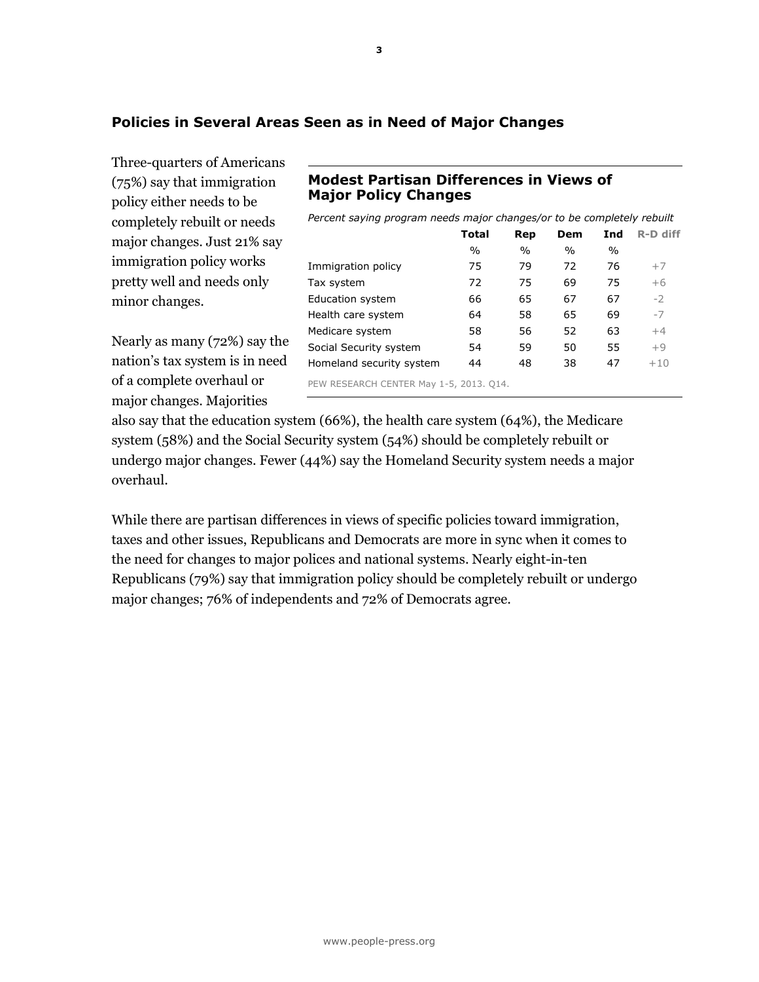## **Policies in Several Areas Seen as in Need of Major Changes**

Three-quarters of Americans (75%) say that immigration policy either needs to be completely rebuilt or needs major changes. Just 21% say immigration policy works pretty well and needs only minor changes.

Nearly as many (72%) say the nation's tax system is in need of a complete overhaul or major changes. Majorities

## **Modest Partisan Differences in Views of Major Policy Changes**

*Percent saying program needs major changes/or to be completely rebuilt*

|                                         | Total | Rep           | Dem           | Ind  | R-D diff |
|-----------------------------------------|-------|---------------|---------------|------|----------|
|                                         | $\%$  | $\frac{0}{0}$ | $\frac{0}{0}$ | $\%$ |          |
| Immigration policy                      | 75    | 79            | 72            | 76   | $+7$     |
| Tax system                              | 72    | 75            | 69            | 75   | $+6$     |
| Education system                        | 66    | 65            | 67            | 67   | $-2$     |
| Health care system                      | 64    | 58            | 65            | 69   | $-7$     |
| Medicare system                         | 58    | 56            | 52            | 63   | $+4$     |
| Social Security system                  | 54    | 59            | 50            | 55   | $+9$     |
| Homeland security system                | 44    | 48            | 38            | 47   | $+10$    |
| PEW RESEARCH CENTER May 1-5, 2013. Q14. |       |               |               |      |          |

also say that the education system (66%), the health care system (64%), the Medicare system (58%) and the Social Security system (54%) should be completely rebuilt or undergo major changes. Fewer (44%) say the Homeland Security system needs a major overhaul.

While there are partisan differences in views of specific policies toward immigration, taxes and other issues, Republicans and Democrats are more in sync when it comes to the need for changes to major polices and national systems. Nearly eight-in-ten Republicans (79%) say that immigration policy should be completely rebuilt or undergo major changes; 76% of independents and 72% of Democrats agree.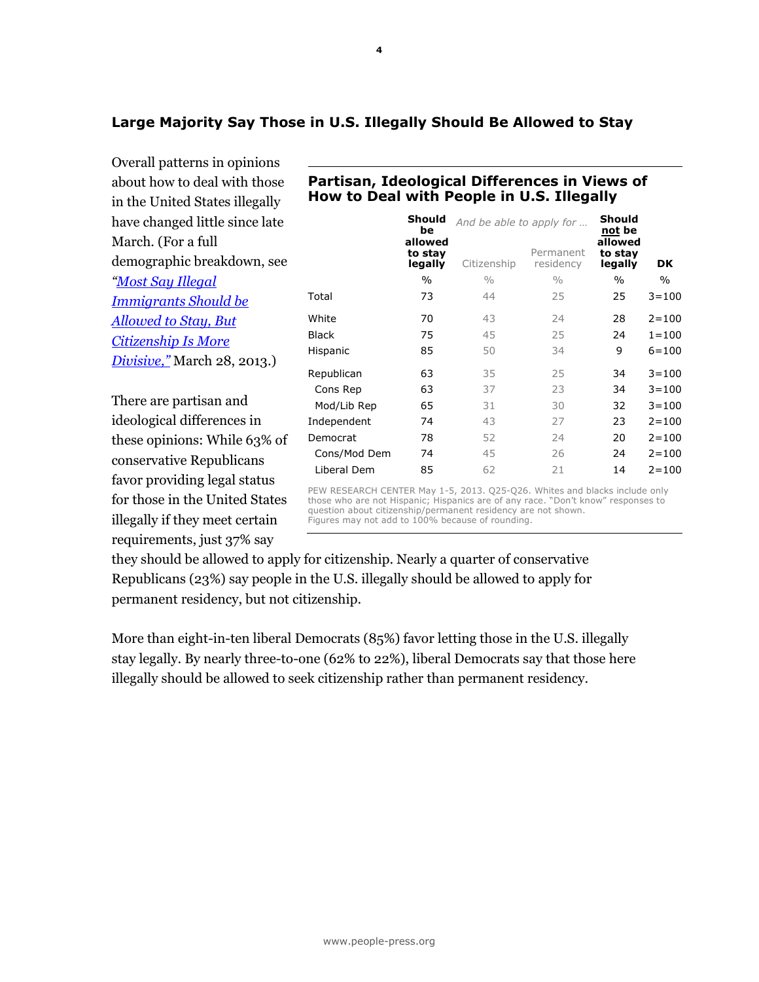## **Large Majority Say Those in U.S. Illegally Should Be Allowed to Stay**

Overall patterns in opinions about how to deal with those in the United States illegally have changed little since late March. (For a full demographic breakdown, see *"[Most Say Illegal](http://www.people-press.org/2013/03/28/most-say-illegal-immigrants-should-be-allowed-to-stay-but-citizenship-is-more-divisive/)  [Immigrants Should be](http://www.people-press.org/2013/03/28/most-say-illegal-immigrants-should-be-allowed-to-stay-but-citizenship-is-more-divisive/)  [Allowed to Stay, But](http://www.people-press.org/2013/03/28/most-say-illegal-immigrants-should-be-allowed-to-stay-but-citizenship-is-more-divisive/)  [Citizenship Is More](http://www.people-press.org/2013/03/28/most-say-illegal-immigrants-should-be-allowed-to-stay-but-citizenship-is-more-divisive/)  [Divisive,"](http://www.people-press.org/2013/03/28/most-say-illegal-immigrants-should-be-allowed-to-stay-but-citizenship-is-more-divisive/)* March 28, 2013.)

There are partisan and ideological differences in these opinions: While 63% of conservative Republicans favor providing legal status for those in the United States illegally if they meet certain requirements, just 37% say

|              | Should<br>be<br>allowed | And be able to apply for | Should<br>not be<br>allowed |                    |           |
|--------------|-------------------------|--------------------------|-----------------------------|--------------------|-----------|
|              | to stay<br>legally      | Citizenship              | Permanent<br>residency      | to stay<br>legally | DK        |
|              | $\%$                    | $\frac{0}{0}$            | $\frac{0}{0}$               | $\%$               | $\%$      |
| Total        | 73                      | 44                       | 25                          | 25                 | $3 = 100$ |
| White        | 70                      | 43                       | 24                          | 28                 | $2 = 100$ |
| <b>Black</b> | 75                      | 45                       | 25                          | 24                 | $1 = 100$ |
| Hispanic     | 85                      | 50                       | 34                          | 9                  | $6 = 100$ |
| Republican   | 63                      | 35                       | 25                          | 34                 | $3 = 100$ |
| Cons Rep     | 63                      | 37                       | 23                          | 34                 | $3 = 100$ |
| Mod/Lib Rep  | 65                      | 31                       | 30                          | 32                 | $3 = 100$ |
| Independent  | 74                      | 43                       | 27                          | 23                 | $2 = 100$ |
| Democrat     | 78                      | 52                       | 24                          | 20                 | $2 = 100$ |
| Cons/Mod Dem | 74                      | 45                       | 26                          | 24                 | $2 = 100$ |
| Liberal Dem  | 85                      | 62                       | 21                          | 14                 | $2 = 100$ |

**Partisan, Ideological Differences in Views of How to Deal with People in U.S. Illegally**

PEW RESEARCH CENTER May 1-5, 2013. Q25-Q26. Whites and blacks include only those who are not Hispanic; Hispanics are of any race. "Don't know" responses to question about citizenship/permanent residency are not shown. Figures may not add to 100% because of rounding.

they should be allowed to apply for citizenship. Nearly a quarter of conservative Republicans (23%) say people in the U.S. illegally should be allowed to apply for permanent residency, but not citizenship.

More than eight-in-ten liberal Democrats (85%) favor letting those in the U.S. illegally stay legally. By nearly three-to-one (62% to 22%), liberal Democrats say that those here illegally should be allowed to seek citizenship rather than permanent residency.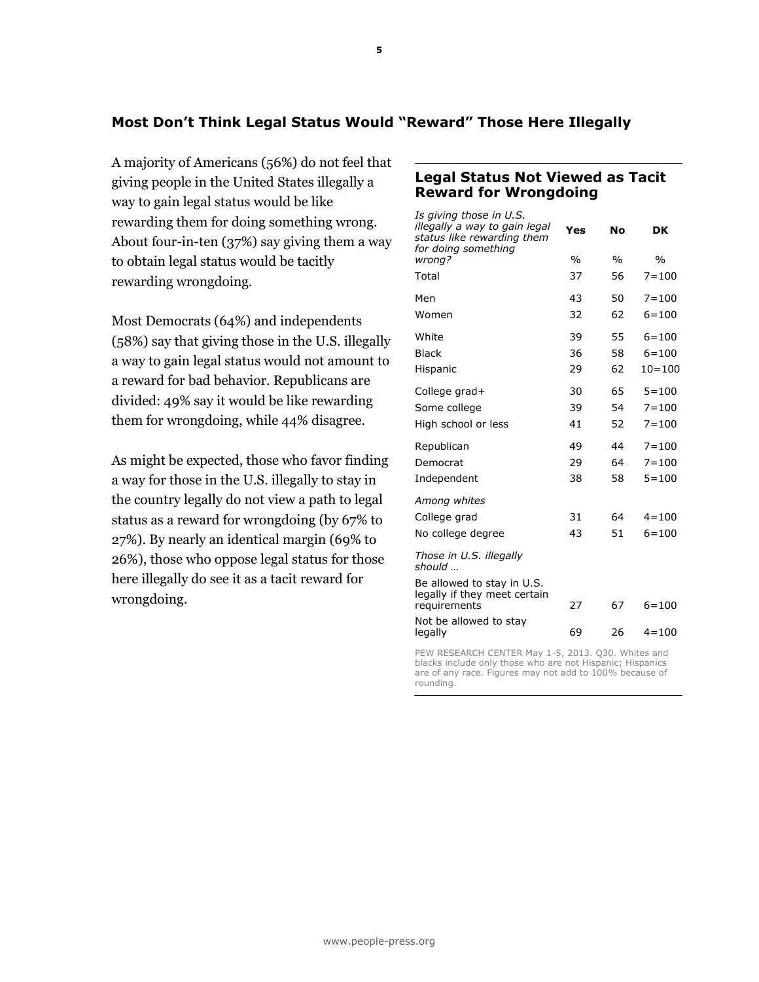## **Most Don't Think Legal Status Would "Reward" Those Here Illegally**

A majority of Americans (56%) do not feel that giving people in the United States illegally a way to gain legal status would be like rewarding them for doing something wrong. About four-in-ten (37%) say giving them a way to obtain legal status would be tacitly rewarding wrongdoing.

Most Democrats (64%) and independents (58%) say that giving those in the U.S. illegally a way to gain legal status would not amount to a reward for bad behavior. Republicans are divided: 49% say it would be like rewarding them for wrongdoing, while 44% disagree.

As might be expected, those who favor finding a way for those in the U.S. illegally to stay in the country legally do not view a path to legal status as a reward for wrongdoing (by 67% to 27%). By nearly an identical margin (69% to 26%), those who oppose legal status for those here illegally do see it as a tacit reward for wrongdoing.

## **Legal Status Not Viewed as Tacit Reward for Wrongdoing**

| Is giving those in U.S.<br>illegally a way to gain legal<br>status like rewarding them<br>for doing something | Yes           | Nο            | DK            |
|---------------------------------------------------------------------------------------------------------------|---------------|---------------|---------------|
| wrong?                                                                                                        | $\frac{0}{0}$ | $\frac{0}{0}$ | $\frac{0}{0}$ |
| Total                                                                                                         | 37            | 56            | $7 = 100$     |
| Men                                                                                                           | 43            | 50            | $7 = 100$     |
| Women                                                                                                         | 32            | 62            | $6 = 100$     |
| White                                                                                                         | 39            | 55            | $6 = 100$     |
| <b>Black</b>                                                                                                  | 36            | 58            | $6 = 100$     |
| Hispanic                                                                                                      | 29            | 62            | $10 = 100$    |
| College grad+                                                                                                 | 30            | 65            | $5 = 100$     |
| Some college                                                                                                  | 39            | 54            | $7 = 100$     |
| High school or less                                                                                           | 41            | 52            | $7 = 100$     |
| Republican                                                                                                    | 49            | 44            | $7 = 100$     |
| Democrat                                                                                                      | 29            | 64            | $7 = 100$     |
| Independent                                                                                                   | 38            | 58            | $5 = 100$     |
| Among whites                                                                                                  |               |               |               |
| College grad                                                                                                  | 31            | 64            | $4 = 100$     |
| No college degree                                                                                             | 43            | 51            | $6 = 100$     |
| Those in U.S. illegally<br>should                                                                             |               |               |               |
| Be allowed to stay in U.S.<br>legally if they meet certain<br>requirements                                    | 27            | 67            | $6 = 100$     |
| Not be allowed to stay<br>legally                                                                             | 69            | 26            | $4 = 100$     |
|                                                                                                               |               |               |               |

PEW RESEARCH CENTER May 1-5, 2013. Q30. Whites and blacks include only those who are not Hispanic; Hispanics are of any race. Figures may not add to 100% because of rounding.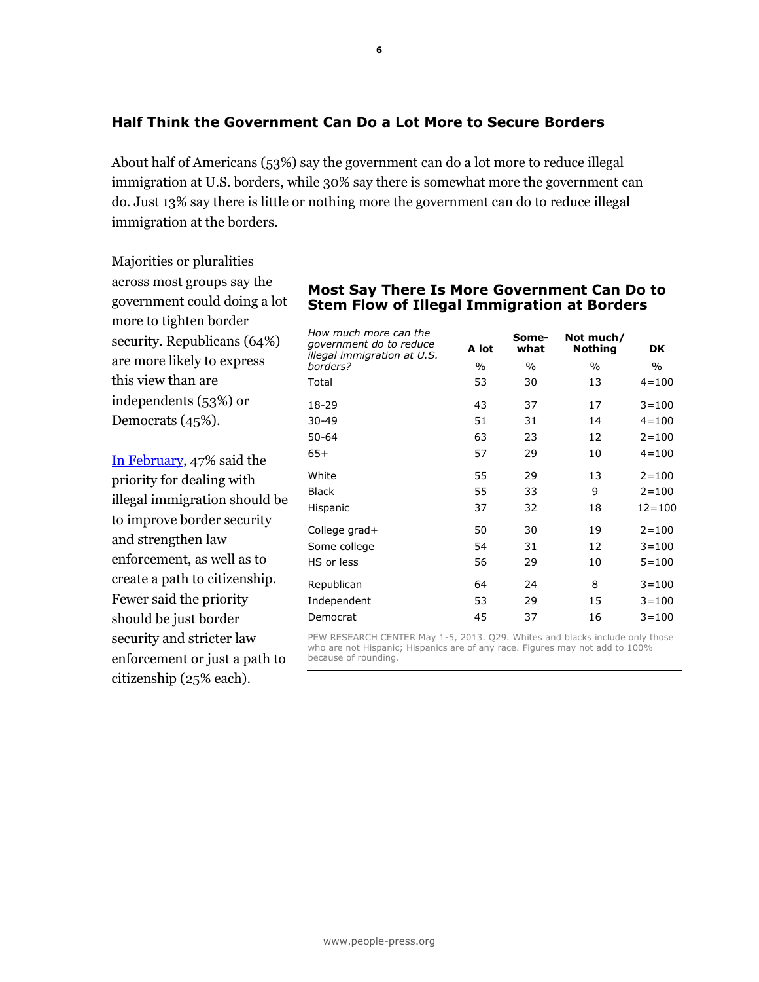## **Half Think the Government Can Do a Lot More to Secure Borders**

About half of Americans (53%) say the government can do a lot more to reduce illegal immigration at U.S. borders, while 30% say there is somewhat more the government can do. Just 13% say there is little or nothing more the government can do to reduce illegal immigration at the borders.

Majorities or pluralities across most groups say the government could doing a lot more to tighten border security. Republicans (64%) are more likely to express this view than are independents (53%) or Democrats (45%).

[In February,](http://www.people-press.org/2013/02/21/section-1-opinions-about-major-issues/) 47% said the priority for dealing with illegal immigration should be to improve border security and strengthen law enforcement, as well as to create a path to citizenship. Fewer said the priority should be just border security and stricter law enforcement or just a path to citizenship (25% each).

### **Most Say There Is More Government Can Do to Stem Flow of Illegal Immigration at Borders**

| How much more can the<br>government do to reduce<br>illegal immigration at U.S. | A lot | Some-<br>what | Not much/<br><b>Nothing</b> | <b>DK</b>  |
|---------------------------------------------------------------------------------|-------|---------------|-----------------------------|------------|
| borders?                                                                        | $\%$  | $\%$          | $\%$                        | $\%$       |
| Total                                                                           | 53    | 30            | 13                          | $4 = 100$  |
| 18-29                                                                           | 43    | 37            | 17                          | $3 = 100$  |
| $30 - 49$                                                                       | 51    | 31            | 14                          | $4 = 100$  |
| $50 - 64$                                                                       | 63    | 23            | 12                          | $2 = 100$  |
| $65+$                                                                           | 57    | 29            | 10                          | $4 = 100$  |
| White                                                                           | 55    | 29            | 13                          | $2 = 100$  |
| <b>Black</b>                                                                    | 55    | 33            | 9                           | $2 = 100$  |
| Hispanic                                                                        | 37    | 32            | 18                          | $12 = 100$ |
| College grad+                                                                   | 50    | 30            | 19                          | $2 = 100$  |
| Some college                                                                    | 54    | 31            | 12                          | $3 = 100$  |
| HS or less                                                                      | 56    | 29            | 10                          | $5 = 100$  |
| Republican                                                                      | 64    | 24            | 8                           | $3 = 100$  |
| Independent                                                                     | 53    | 29            | 15                          | $3 = 100$  |
| Democrat                                                                        | 45    | 37            | 16                          | $3 = 100$  |

PEW RESEARCH CENTER May 1-5, 2013. Q29. Whites and blacks include only those who are not Hispanic; Hispanics are of any race. Figures may not add to 100% because of rounding.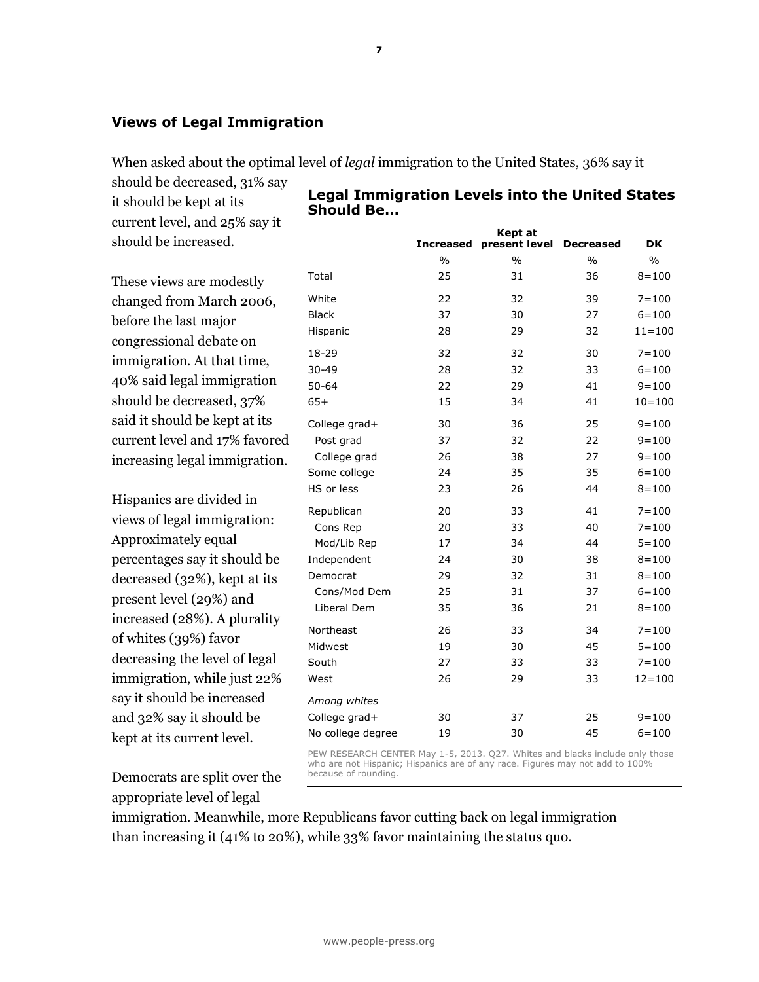## **Views of Legal Immigration**

When asked about the optimal level of *legal* immigration to the United States, 36% say it

should be decreased, 31% say it should be kept at its current level, and 25% say it should be increased.

These views are modestly changed from March 2006, before the last major congressional debate on immigration. At that time, 40% said legal immigration should be decreased, 37% said it should be kept at its current level and 17% favored increasing legal immigration.

Hispanics are divided in views of legal immigration: Approximately equal percentages say it should be decreased (32%), kept at its present level (29%) and increased (28%). A plurality of whites (39%) favor decreasing the level of legal immigration, while just 22% say it should be increased and 32% say it should be kept at its current level.

Democrats are split over the appropriate level of legal

**Legal Immigration Levels into the United States Should Be…**

**Kept at** 

|                   |               | керт ат       |                  |               |
|-------------------|---------------|---------------|------------------|---------------|
|                   | Increased     | present level | <b>Decreased</b> | <b>DK</b>     |
|                   | $\frac{0}{0}$ | $\frac{0}{0}$ | $\frac{0}{0}$    | $\frac{0}{0}$ |
| Total             | 25            | 31            | 36               | $8 = 100$     |
| White             | 22            | 32            | 39               | $7 = 100$     |
| <b>Black</b>      | 37            | 30            | 27               | $6 = 100$     |
| Hispanic          | 28            | 29            | 32               | $11 = 100$    |
| 18-29             | 32            | 32            | 30               | $7 = 100$     |
| $30 - 49$         | 28            | 32            | 33               | $6 = 100$     |
| $50 - 64$         | 22            | 29            | 41               | $9 = 100$     |
| $65+$             | 15            | 34            | 41               | $10 = 100$    |
| College grad+     | 30            | 36            | 25               | $9 = 100$     |
| Post grad         | 37            | 32            | 22               | $9 = 100$     |
| College grad      | 26            | 38            | 27               | $9 = 100$     |
| Some college      | 24            | 35            | 35               | $6 = 100$     |
| HS or less        | 23            | 26            | 44               | $8 = 100$     |
| Republican        | 20            | 33            | 41               | $7 = 100$     |
| Cons Rep          | 20            | 33            | 40               | $7 = 100$     |
| Mod/Lib Rep       | 17            | 34            | 44               | $5 = 100$     |
| Independent       | 24            | 30            | 38               | $8 = 100$     |
| Democrat          | 29            | 32            | 31               | $8 = 100$     |
| Cons/Mod Dem      | 25            | 31            | 37               | $6 = 100$     |
| Liberal Dem       | 35            | 36            | 21               | $8 = 100$     |
| Northeast         | 26            | 33            | 34               | $7 = 100$     |
| Midwest           | 19            | 30            | 45               | $5 = 100$     |
| South             | 27            | 33            | 33               | $7 = 100$     |
| West              | 26            | 29            | 33               | $12 = 100$    |
| Among whites      |               |               |                  |               |
| College grad+     | 30            | 37            | 25               | $9 = 100$     |
| No college degree | 19            | 30            | 45               | $6 = 100$     |

PEW RESEARCH CENTER May 1-5, 2013. Q27. Whites and blacks include only those who are not Hispanic; Hispanics are of any race. Figures may not add to 100% because of rounding.

immigration. Meanwhile, more Republicans favor cutting back on legal immigration than increasing it (41% to 20%), while 33% favor maintaining the status quo.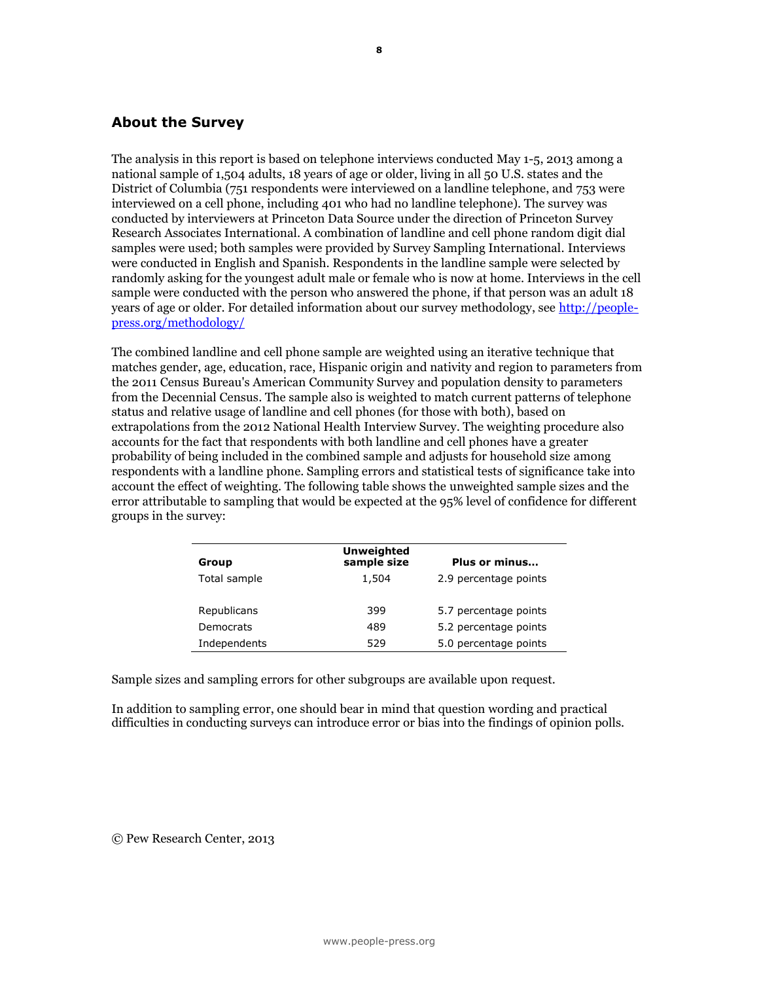## **About the Survey**

The analysis in this report is based on telephone interviews conducted May 1-5, 2013 among a national sample of 1,504 adults, 18 years of age or older, living in all 50 U.S. states and the District of Columbia (751 respondents were interviewed on a landline telephone, and 753 were interviewed on a cell phone, including 401 who had no landline telephone). The survey was conducted by interviewers at Princeton Data Source under the direction of Princeton Survey Research Associates International. A combination of landline and cell phone random digit dial samples were used; both samples were provided by Survey Sampling International. Interviews were conducted in English and Spanish. Respondents in the landline sample were selected by randomly asking for the youngest adult male or female who is now at home. Interviews in the cell sample were conducted with the person who answered the phone, if that person was an adult 18 years of age or older. For detailed information about our survey methodology, see [http://people](http://people-press.org/methodology/)[press.org/methodology/](http://people-press.org/methodology/)

The combined landline and cell phone sample are weighted using an iterative technique that matches gender, age, education, race, Hispanic origin and nativity and region to parameters from the 2011 Census Bureau's American Community Survey and population density to parameters from the Decennial Census. The sample also is weighted to match current patterns of telephone status and relative usage of landline and cell phones (for those with both), based on extrapolations from the 2012 National Health Interview Survey. The weighting procedure also accounts for the fact that respondents with both landline and cell phones have a greater probability of being included in the combined sample and adjusts for household size among respondents with a landline phone. Sampling errors and statistical tests of significance take into account the effect of weighting. The following table shows the unweighted sample sizes and the error attributable to sampling that would be expected at the 95% level of confidence for different groups in the survey:

| Group        | <b>Unweighted</b><br>sample size | Plus or minus         |
|--------------|----------------------------------|-----------------------|
| Total sample | 1,504                            | 2.9 percentage points |
| Republicans  | 399                              | 5.7 percentage points |
| Democrats    | 489                              | 5.2 percentage points |
| Independents | 529                              | 5.0 percentage points |

Sample sizes and sampling errors for other subgroups are available upon request.

In addition to sampling error, one should bear in mind that question wording and practical difficulties in conducting surveys can introduce error or bias into the findings of opinion polls.

© Pew Research Center, 2013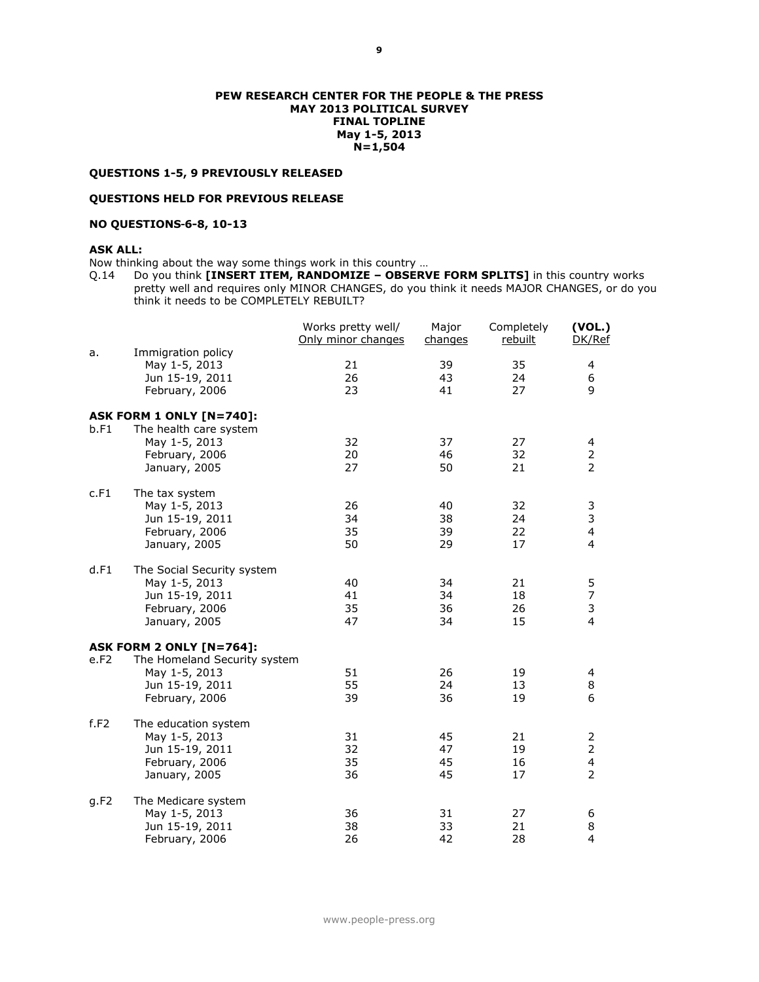#### **PEW RESEARCH CENTER FOR THE PEOPLE & THE PRESS MAY 2013 POLITICAL SURVEY FINAL TOPLINE May 1-5, 2013 N=1,504**

#### **QUESTIONS 1-5, 9 PREVIOUSLY RELEASED**

#### **QUESTIONS HELD FOR PREVIOUS RELEASE**

#### **NO QUESTIONS 6-8, 10-13**

#### **ASK ALL:**

Now thinking about the way some things work in this country …

Q.14 Do you think **[INSERT ITEM, RANDOMIZE – OBSERVE FORM SPLITS]** in this country works pretty well and requires only MINOR CHANGES, do you think it needs MAJOR CHANGES, or do you think it needs to be COMPLETELY REBUILT?

|      |                                                                                             | Works pretty well/<br>Only minor changes | Major<br>changes     | Completely<br>rebuilt | (VOL.)<br>DK/Ref                                                 |
|------|---------------------------------------------------------------------------------------------|------------------------------------------|----------------------|-----------------------|------------------------------------------------------------------|
| a.   | Immigration policy<br>May 1-5, 2013<br>Jun 15-19, 2011<br>February, 2006                    | 21<br>26<br>23                           | 39<br>43<br>41       | 35<br>24<br>27        | 4<br>6<br>9                                                      |
| b.F1 | ASK FORM 1 ONLY [N=740]:<br>The health care system                                          |                                          |                      |                       |                                                                  |
|      | May 1-5, 2013<br>February, 2006<br>January, 2005                                            | 32<br>20<br>27                           | 37<br>46<br>50       | 27<br>32<br>21        | 4<br>2<br>2                                                      |
| c.F1 | The tax system                                                                              |                                          |                      |                       |                                                                  |
|      | May 1-5, 2013<br>Jun 15-19, 2011<br>February, 2006<br>January, 2005                         | 26<br>34<br>35<br>50                     | 40<br>38<br>39<br>29 | 32<br>24<br>22<br>17  | 3<br>3<br>4<br>4                                                 |
| d.F1 | The Social Security system                                                                  |                                          |                      |                       |                                                                  |
|      | May 1-5, 2013<br>Jun 15-19, 2011<br>February, 2006<br>January, 2005                         | 40<br>41<br>35<br>47                     | 34<br>34<br>36<br>34 | 21<br>18<br>26<br>15  | 5<br>7<br>3<br>$\overline{4}$                                    |
|      | <b>ASK FORM 2 ONLY [N=764]:</b>                                                             |                                          |                      |                       |                                                                  |
| e.F2 | The Homeland Security system<br>May 1-5, 2013<br>Jun 15-19, 2011<br>February, 2006          | 51<br>55<br>39                           | 26<br>24<br>36       | 19<br>13<br>19        | 4<br>8<br>6                                                      |
| f.F2 | The education system<br>May 1-5, 2013<br>Jun 15-19, 2011<br>February, 2006<br>January, 2005 | 31<br>32<br>35<br>36                     | 45<br>47<br>45<br>45 | 21<br>19<br>16<br>17  | 2<br>$\overline{2}$<br>$\overline{\mathbf{4}}$<br>$\overline{2}$ |
| q.F2 | The Medicare system<br>May 1-5, 2013<br>Jun 15-19, 2011<br>February, 2006                   | 36<br>38<br>26                           | 31<br>33<br>42       | 27<br>21<br>28        | 6<br>8<br>$\overline{4}$                                         |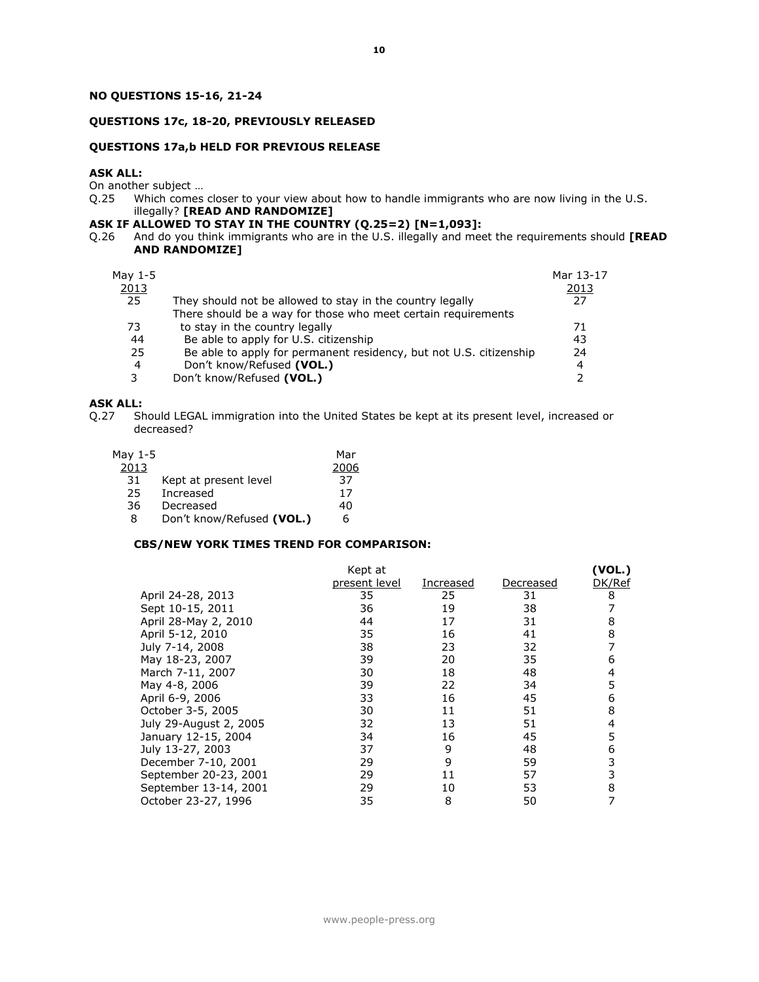#### **NO QUESTIONS 15-16, 21-24**

#### **QUESTIONS 17c, 18-20, PREVIOUSLY RELEASED**

#### **QUESTIONS 17a,b HELD FOR PREVIOUS RELEASE**

#### **ASK ALL:**

On another subject ...<br>Q.25 Which comes Which comes closer to your view about how to handle immigrants who are now living in the U.S. illegally? **[READ AND RANDOMIZE]**

#### **ASK IF ALLOWED TO STAY IN THE COUNTRY (Q.25=2) [N=1,093]:**

Q.26 And do you think immigrants who are in the U.S. illegally and meet the requirements should **[READ AND RANDOMIZE]**

| May 1-5<br>2013<br>25 | They should not be allowed to stay in the country legally<br>There should be a way for those who meet certain requirements | Mar 13-17<br>2013<br>27 |
|-----------------------|----------------------------------------------------------------------------------------------------------------------------|-------------------------|
| 73                    | to stay in the country legally                                                                                             | 71                      |
| 44                    | Be able to apply for U.S. citizenship                                                                                      | 43                      |
| 25                    | Be able to apply for permanent residency, but not U.S. citizenship                                                         | 24                      |
| 4                     | Don't know/Refused (VOL.)                                                                                                  | $\overline{4}$          |
| 3                     | Don't know/Refused (VOL.)                                                                                                  |                         |

## **ASK ALL:**<br>Q.27 SH

Should LEGAL immigration into the United States be kept at its present level, increased or decreased?

| May 1-5 |                           | Mar  |
|---------|---------------------------|------|
| 2013    |                           | 2006 |
| 31      | Kept at present level     | 37   |
| 25      | Increased                 | 17   |
| 36      | Decreased                 | 40   |
| 8       | Don't know/Refused (VOL.) | 6    |

#### **CBS/NEW YORK TIMES TREND FOR COMPARISON:**

|                        | Kept at       |           |           | (VOL.) |
|------------------------|---------------|-----------|-----------|--------|
|                        | present level | Increased | Decreased | DK/Ref |
| April 24-28, 2013      | 35            | 25        | 31        | 8      |
| Sept 10-15, 2011       | 36            | 19        | 38        |        |
| April 28-May 2, 2010   | 44            | 17        | 31        | 8      |
| April 5-12, 2010       | 35            | 16        | 41        | 8      |
| July 7-14, 2008        | 38            | 23        | 32        |        |
| May 18-23, 2007        | 39            | 20        | 35        | 6      |
| March 7-11, 2007       | 30            | 18        | 48        |        |
| May 4-8, 2006          | 39            | 22        | 34        |        |
| April 6-9, 2006        | 33            | 16        | 45        | 6      |
| October 3-5, 2005      | 30            | 11        | 51        | 8      |
| July 29-August 2, 2005 | 32            | 13        | 51        |        |
| January 12-15, 2004    | 34            | 16        | 45        | 5      |
| July 13-27, 2003       | 37            | 9         | 48        | 6      |
| December 7-10, 2001    | 29            | 9         | 59        | 3      |
| September 20-23, 2001  | 29            | 11        | 57        |        |
| September 13-14, 2001  | 29            | 10        | 53        | 8      |
| October 23-27, 1996    | 35            | 8         | 50        | 7      |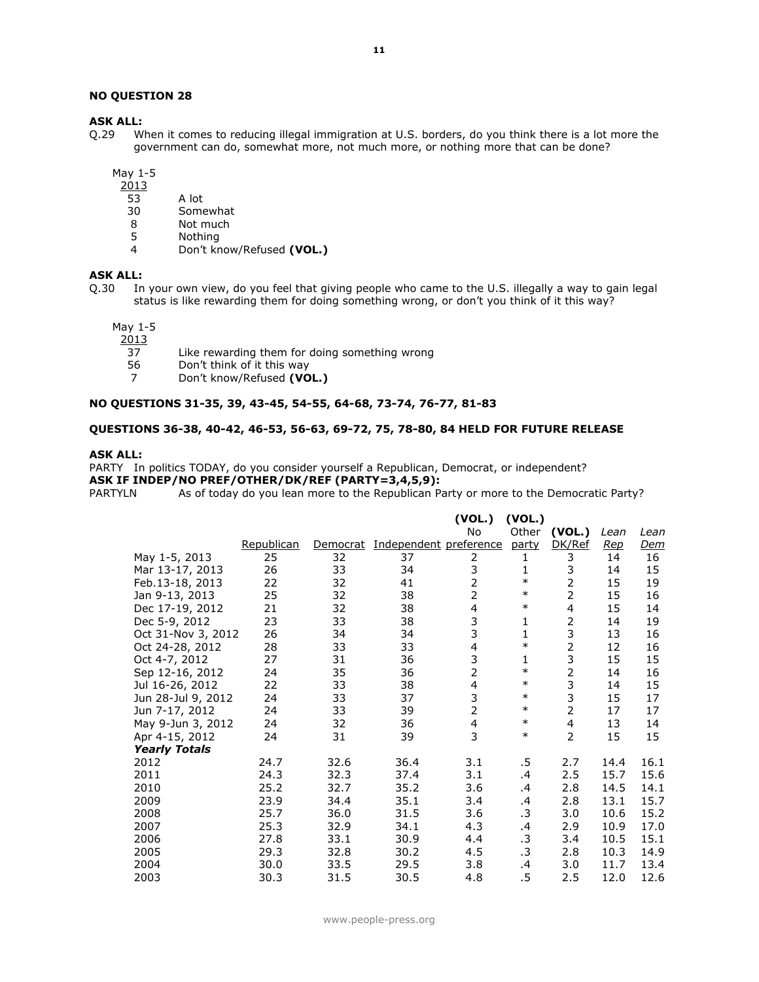#### **NO QUESTION 28**

#### **ASK ALL:**

Q.29 When it comes to reducing illegal immigration at U.S. borders, do you think there is a lot more the government can do, somewhat more, not much more, or nothing more that can be done?

May 1-5

- 2013
- 53 A lot
- 30 Somewhat<br>8 Not much
- 8 Not much<br>5 Nothing
- 5 Nothing<br>4 Don't kn
- 4 Don't know/Refused **(VOL.)**

#### **ASK ALL:**

Q.30 In your own view, do you feel that giving people who came to the U.S. illegally a way to gain legal status is like rewarding them for doing something wrong, or don't you think of it this way?

May 1-5

- $\frac{2013}{37}$ 37 Like rewarding them for doing something wrong<br>56 Don't think of it this way
- Don't think of it this way
- 7 Don't know/Refused **(VOL.)**

#### **NO QUESTIONS 31-35, 39, 43-45, 54-55, 64-68, 73-74, 76-77, 81-83**

#### **QUESTIONS 36-38, 40-42, 46-53, 56-63, 69-72, 75, 78-80, 84 HELD FOR FUTURE RELEASE**

#### **ASK ALL:**

PARTY In politics TODAY, do you consider yourself a Republican, Democrat, or independent? **ASK IF INDEP/NO PREF/OTHER/DK/REF (PARTY=3,4,5,9):**

PARTYLN As of today do you lean more to the Republican Party or more to the Democratic Party?

|                      |            |          |                        | (VOL.)<br>No            | (VOL.)<br>Other | (VOL.)         | Lean | Lean |
|----------------------|------------|----------|------------------------|-------------------------|-----------------|----------------|------|------|
|                      | Republican | Democrat | Independent preference |                         | party           | DK/Ref         | Rep  | Dem  |
| May 1-5, 2013        | 25         | 32       | 37                     | 2                       | 1               | 3              | 14   | 16   |
| Mar 13-17, 2013      | 26         | 33       | 34                     | 3                       | 1               | 3              | 14   | 15   |
| Feb.13-18, 2013      | 22         | 32       | 41                     | $\overline{2}$          | $\ast$          | $\overline{2}$ | 15   | 19   |
| Jan 9-13, 2013       | 25         | 32       | 38                     | $\overline{2}$          | $\ast$          | $\overline{2}$ | 15   | 16   |
| Dec 17-19, 2012      | 21         | 32       | 38                     | 4                       | $\ast$          | $\overline{4}$ | 15   | 14   |
| Dec 5-9, 2012        | 23         | 33       | 38                     | $\frac{3}{3}$           | 1               | 2              | 14   | 19   |
| Oct 31-Nov 3, 2012   | 26         | 34       | 34                     |                         | 1               | 3              | 13   | 16   |
| Oct 24-28, 2012      | 28         | 33       | 33                     | $\overline{\mathbf{4}}$ | $\ast$          | $\overline{2}$ | 12   | 16   |
| Oct 4-7, 2012        | 27         | 31       | 36                     | 3                       | 1               | 3              | 15   | 15   |
| Sep 12-16, 2012      | 24         | 35       | 36                     | $\overline{2}$          | $\ast$          | $\overline{2}$ | 14   | 16   |
| Jul 16-26, 2012      | 22         | 33       | 38                     | 4                       | $\ast$          | 3              | 14   | 15   |
| Jun 28-Jul 9, 2012   | 24         | 33       | 37                     | 3                       | $\ast$          | 3              | 15   | 17   |
| Jun 7-17, 2012       | 24         | 33       | 39                     | $\overline{2}$          | $\ast$          | $\overline{2}$ | 17   | 17   |
| May 9-Jun 3, 2012    | 24         | 32       | 36                     | $\overline{4}$          | $\ast$          | $\overline{4}$ | 13   | 14   |
| Apr 4-15, 2012       | 24         | 31       | 39                     | 3                       | $\ast$          | $\overline{2}$ | 15   | 15   |
| <b>Yearly Totals</b> |            |          |                        |                         |                 |                |      |      |
| 2012                 | 24.7       | 32.6     | 36.4                   | 3.1                     | .5              | 2.7            | 14.4 | 16.1 |
| 2011                 | 24.3       | 32.3     | 37.4                   | 3.1                     | .4              | 2.5            | 15.7 | 15.6 |
| 2010                 | 25.2       | 32.7     | 35.2                   | 3.6                     | .4              | 2.8            | 14.5 | 14.1 |
| 2009                 | 23.9       | 34.4     | 35.1                   | 3.4                     | .4              | 2.8            | 13.1 | 15.7 |
| 2008                 | 25.7       | 36.0     | 31.5                   | 3.6                     | .3              | 3.0            | 10.6 | 15.2 |
| 2007                 | 25.3       | 32.9     | 34.1                   | 4.3                     | .4              | 2.9            | 10.9 | 17.0 |
| 2006                 | 27.8       | 33.1     | 30.9                   | 4.4                     | .3              | 3.4            | 10.5 | 15.1 |
| 2005                 | 29.3       | 32.8     | 30.2                   | 4.5                     | .3              | 2.8            | 10.3 | 14.9 |
| 2004                 | 30.0       | 33.5     | 29.5                   | 3.8                     | .4              | 3.0            | 11.7 | 13.4 |
| 2003                 | 30.3       | 31.5     | 30.5                   | 4.8                     | .5              | 2.5            | 12.0 | 12.6 |